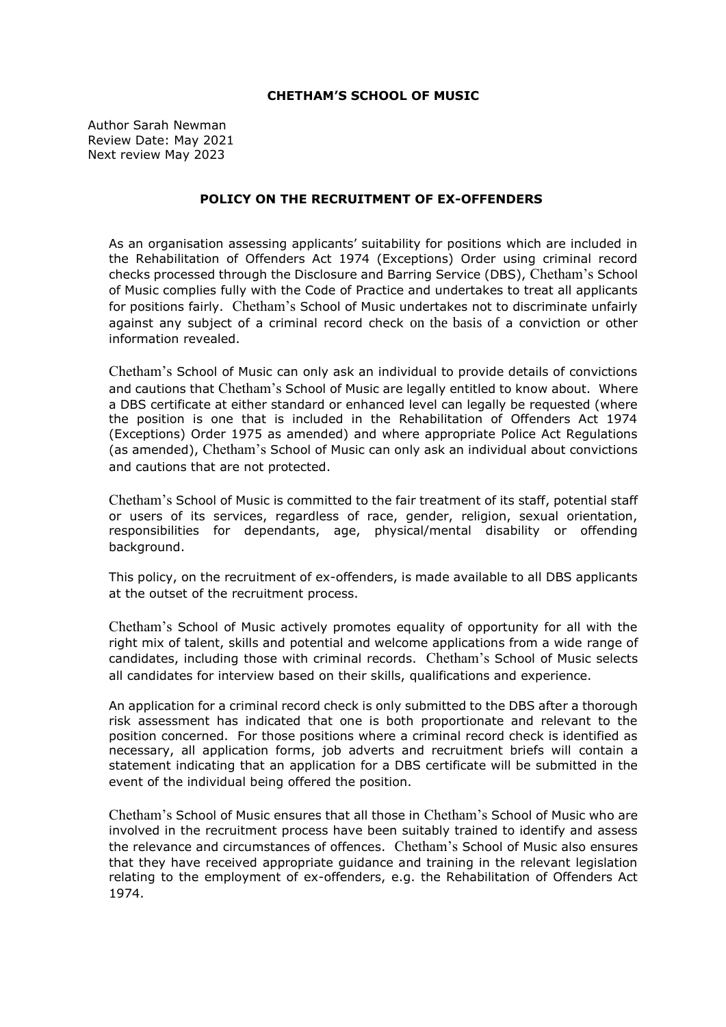## **CHETHAM'S SCHOOL OF MUSIC**

Author Sarah Newman Review Date: May 2021 Next review May 2023

## **POLICY ON THE RECRUITMENT OF EX-OFFENDERS**

As an organisation assessing applicants' suitability for positions which are included in the Rehabilitation of Offenders Act 1974 (Exceptions) Order using criminal record checks processed through the Disclosure and Barring Service (DBS), Chetham's School of Music complies fully with the Code of Practice and undertakes to treat all applicants for positions fairly. Chetham's School of Music undertakes not to discriminate unfairly against any subject of a criminal record check on the basis of a conviction or other information revealed.

Chetham's School of Music can only ask an individual to provide details of convictions and cautions that Chetham's School of Music are legally entitled to know about. Where a DBS certificate at either standard or enhanced level can legally be requested (where the position is one that is included in the Rehabilitation of Offenders Act 1974 (Exceptions) Order 1975 as amended) and where appropriate Police Act Regulations (as amended), Chetham's School of Music can only ask an individual about convictions and cautions that are not protected.

Chetham's School of Music is committed to the fair treatment of its staff, potential staff or users of its services, regardless of race, gender, religion, sexual orientation, responsibilities for dependants, age, physical/mental disability or offending background.

This policy, on the recruitment of ex-offenders, is made available to all DBS applicants at the outset of the recruitment process.

Chetham's School of Music actively promotes equality of opportunity for all with the right mix of talent, skills and potential and welcome applications from a wide range of candidates, including those with criminal records. Chetham's School of Music selects all candidates for interview based on their skills, qualifications and experience.

An application for a criminal record check is only submitted to the DBS after a thorough risk assessment has indicated that one is both proportionate and relevant to the position concerned. For those positions where a criminal record check is identified as necessary, all application forms, job adverts and recruitment briefs will contain a statement indicating that an application for a DBS certificate will be submitted in the event of the individual being offered the position.

Chetham's School of Music ensures that all those in Chetham's School of Music who are involved in the recruitment process have been suitably trained to identify and assess the relevance and circumstances of offences. Chetham's School of Music also ensures that they have received appropriate guidance and training in the relevant legislation relating to the employment of ex-offenders, e.g. the Rehabilitation of Offenders Act 1974.